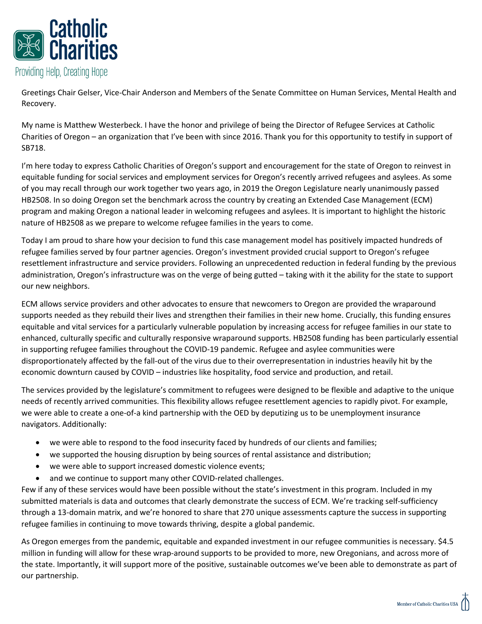

Greetings Chair Gelser, Vice-Chair Anderson and Members of the Senate Committee on Human Services, Mental Health and Recovery.

My name is Matthew Westerbeck. I have the honor and privilege of being the Director of Refugee Services at Catholic Charities of Oregon – an organization that I've been with since 2016. Thank you for this opportunity to testify in support of SB718.

I'm here today to express Catholic Charities of Oregon's support and encouragement for the state of Oregon to reinvest in equitable funding for social services and employment services for Oregon's recently arrived refugees and asylees. As some of you may recall through our work together two years ago, in 2019 the Oregon Legislature nearly unanimously passed HB2508. In so doing Oregon set the benchmark across the country by creating an Extended Case Management (ECM) program and making Oregon a national leader in welcoming refugees and asylees. It is important to highlight the historic nature of HB2508 as we prepare to welcome refugee families in the years to come.

Today I am proud to share how your decision to fund this case management model has positively impacted hundreds of refugee families served by four partner agencies. Oregon's investment provided crucial support to Oregon's refugee resettlement infrastructure and service providers. Following an unprecedented reduction in federal funding by the previous administration, Oregon's infrastructure was on the verge of being gutted – taking with it the ability for the state to support our new neighbors.

ECM allows service providers and other advocates to ensure that newcomers to Oregon are provided the wraparound supports needed as they rebuild their lives and strengthen their families in their new home. Crucially, this funding ensures equitable and vital services for a particularly vulnerable population by increasing access for refugee families in our state to enhanced, culturally specific and culturally responsive wraparound supports. HB2508 funding has been particularly essential in supporting refugee families throughout the COVID-19 pandemic. Refugee and asylee communities were disproportionately affected by the fall-out of the virus due to their overrepresentation in industries heavily hit by the economic downturn caused by COVID – industries like hospitality, food service and production, and retail.

The services provided by the legislature's commitment to refugees were designed to be flexible and adaptive to the unique needs of recently arrived communities. This flexibility allows refugee resettlement agencies to rapidly pivot. For example, we were able to create a one-of-a kind partnership with the OED by deputizing us to be unemployment insurance navigators. Additionally:

- we were able to respond to the food insecurity faced by hundreds of our clients and families;
- we supported the housing disruption by being sources of rental assistance and distribution;
- we were able to support increased domestic violence events;
- and we continue to support many other COVID-related challenges.

Few if any of these services would have been possible without the state's investment in this program. Included in my submitted materials is data and outcomes that clearly demonstrate the success of ECM. We're tracking self-sufficiency through a 13-domain matrix, and we're honored to share that 270 unique assessments capture the success in supporting refugee families in continuing to move towards thriving, despite a global pandemic.

As Oregon emerges from the pandemic, equitable and expanded investment in our refugee communities is necessary. \$4.5 million in funding will allow for these wrap-around supports to be provided to more, new Oregonians, and across more of the state. Importantly, it will support more of the positive, sustainable outcomes we've been able to demonstrate as part of our partnership.